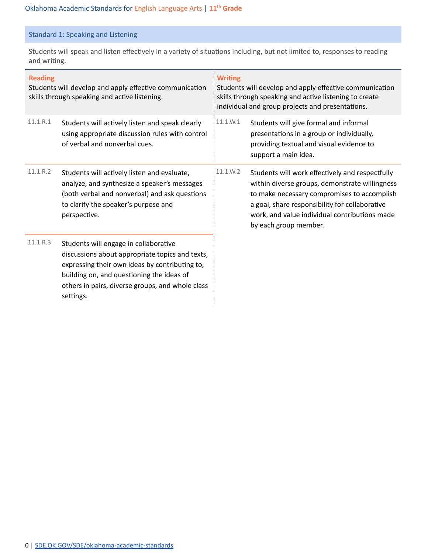## Standard 1: Speaking and Listening

Students will speak and listen effectively in a variety of situations including, but not limited to, responses to reading and writing.

| <b>Reading</b><br>Students will develop and apply effective communication<br>skills through speaking and active listening. |                                                                                                                                                                                                                                                          | <b>Writing</b><br>Students will develop and apply effective communication<br>skills through speaking and active listening to create<br>individual and group projects and presentations. |                                                                                                                                                                                                                                                                              |  |
|----------------------------------------------------------------------------------------------------------------------------|----------------------------------------------------------------------------------------------------------------------------------------------------------------------------------------------------------------------------------------------------------|-----------------------------------------------------------------------------------------------------------------------------------------------------------------------------------------|------------------------------------------------------------------------------------------------------------------------------------------------------------------------------------------------------------------------------------------------------------------------------|--|
| 11.1.R.1                                                                                                                   | Students will actively listen and speak clearly<br>using appropriate discussion rules with control<br>of verbal and nonverbal cues.                                                                                                                      | 11.1.W.1                                                                                                                                                                                | Students will give formal and informal<br>presentations in a group or individually,<br>providing textual and visual evidence to<br>support a main idea.                                                                                                                      |  |
| 11.1.R.2                                                                                                                   | Students will actively listen and evaluate,<br>analyze, and synthesize a speaker's messages<br>(both verbal and nonverbal) and ask questions<br>to clarify the speaker's purpose and<br>perspective.                                                     | 11.1.W.2                                                                                                                                                                                | Students will work effectively and respectfully<br>within diverse groups, demonstrate willingness<br>to make necessary compromises to accomplish<br>a goal, share responsibility for collaborative<br>work, and value individual contributions made<br>by each group member. |  |
| 11.1.R.3                                                                                                                   | Students will engage in collaborative<br>discussions about appropriate topics and texts,<br>expressing their own ideas by contributing to,<br>building on, and questioning the ideas of<br>others in pairs, diverse groups, and whole class<br>settings. |                                                                                                                                                                                         |                                                                                                                                                                                                                                                                              |  |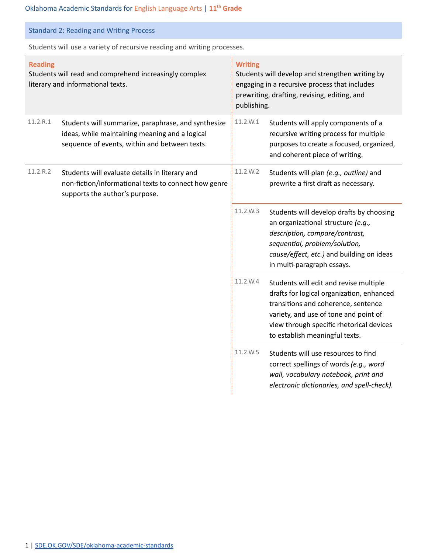| <b>Standard 2: Reading and Writing Process</b>                                                                |                                                                                                                                                        |                                                                                                                                                                                   |                                                                                                                                                                                                                                                   |
|---------------------------------------------------------------------------------------------------------------|--------------------------------------------------------------------------------------------------------------------------------------------------------|-----------------------------------------------------------------------------------------------------------------------------------------------------------------------------------|---------------------------------------------------------------------------------------------------------------------------------------------------------------------------------------------------------------------------------------------------|
| Students will use a variety of recursive reading and writing processes.                                       |                                                                                                                                                        |                                                                                                                                                                                   |                                                                                                                                                                                                                                                   |
| <b>Reading</b><br>Students will read and comprehend increasingly complex<br>literary and informational texts. |                                                                                                                                                        | <b>Writing</b><br>Students will develop and strengthen writing by<br>engaging in a recursive process that includes<br>prewriting, drafting, revising, editing, and<br>publishing. |                                                                                                                                                                                                                                                   |
| 11.2.R.1                                                                                                      | Students will summarize, paraphrase, and synthesize<br>ideas, while maintaining meaning and a logical<br>sequence of events, within and between texts. | 11.2.W.1                                                                                                                                                                          | Students will apply components of a<br>recursive writing process for multiple<br>purposes to create a focused, organized,<br>and coherent piece of writing.                                                                                       |
| 11.2.R.2                                                                                                      | Students will evaluate details in literary and<br>non-fiction/informational texts to connect how genre<br>supports the author's purpose.               | 11.2.W.2                                                                                                                                                                          | Students will plan (e.g., outline) and<br>prewrite a first draft as necessary.                                                                                                                                                                    |
|                                                                                                               |                                                                                                                                                        | 11.2.W.3                                                                                                                                                                          | Students will develop drafts by choosing<br>an organizational structure (e.g.,<br>description, compare/contrast,<br>sequential, problem/solution,<br>cause/effect, etc.) and building on ideas<br>in multi-paragraph essays.                      |
|                                                                                                               |                                                                                                                                                        | 11.2.W.4                                                                                                                                                                          | Students will edit and revise multiple<br>drafts for logical organization, enhanced<br>transitions and coherence, sentence<br>variety, and use of tone and point of<br>view through specific rhetorical devices<br>to establish meaningful texts. |
|                                                                                                               |                                                                                                                                                        | 11.2.W.5                                                                                                                                                                          | Students will use resources to find<br>correct spellings of words (e.g., word<br>wall, vocabulary notebook, print and<br>electronic dictionaries, and spell-check).                                                                               |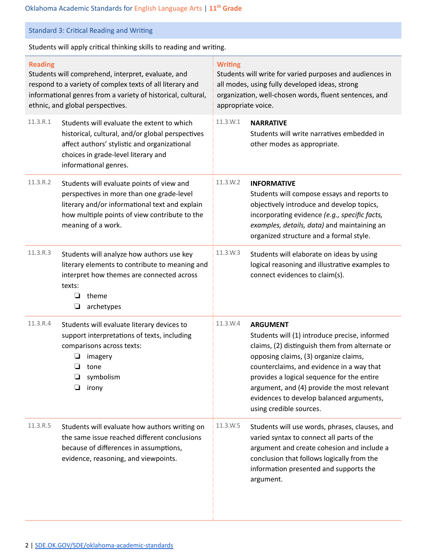# Standard 3: Critical Reading and Writing

Students will apply critical thinking skills to reading and writing.

| <b>Reading</b><br>Students will comprehend, interpret, evaluate, and<br>respond to a variety of complex texts of all literary and<br>informational genres from a variety of historical, cultural,<br>ethnic, and global perspectives. |                                                                                                                                                                                                                 | <b>Writing</b><br>Students will write for varied purposes and audiences in<br>all modes, using fully developed ideas, strong<br>organization, well-chosen words, fluent sentences, and<br>appropriate voice. |                                                                                                                                                                                                                                                                                                                                                                              |  |
|---------------------------------------------------------------------------------------------------------------------------------------------------------------------------------------------------------------------------------------|-----------------------------------------------------------------------------------------------------------------------------------------------------------------------------------------------------------------|--------------------------------------------------------------------------------------------------------------------------------------------------------------------------------------------------------------|------------------------------------------------------------------------------------------------------------------------------------------------------------------------------------------------------------------------------------------------------------------------------------------------------------------------------------------------------------------------------|--|
| 11.3.R.1                                                                                                                                                                                                                              | Students will evaluate the extent to which<br>historical, cultural, and/or global perspectives<br>affect authors' stylistic and organizational<br>choices in grade-level literary and<br>informational genres.  | 11.3.W.1                                                                                                                                                                                                     | <b>NARRATIVE</b><br>Students will write narratives embedded in<br>other modes as appropriate.                                                                                                                                                                                                                                                                                |  |
| 11.3.R.2                                                                                                                                                                                                                              | Students will evaluate points of view and<br>perspectives in more than one grade-level<br>literary and/or informational text and explain<br>how multiple points of view contribute to the<br>meaning of a work. | 11.3.W.2                                                                                                                                                                                                     | <b>INFORMATIVE</b><br>Students will compose essays and reports to<br>objectively introduce and develop topics,<br>incorporating evidence (e.g., specific facts,<br>examples, details, data) and maintaining an<br>organized structure and a formal style.                                                                                                                    |  |
| 11.3.R.3                                                                                                                                                                                                                              | Students will analyze how authors use key<br>literary elements to contribute to meaning and<br>interpret how themes are connected across<br>texts:<br>theme<br>⊔<br>archetypes<br>❏                             | 11.3.W.3                                                                                                                                                                                                     | Students will elaborate on ideas by using<br>logical reasoning and illustrative examples to<br>connect evidences to claim(s).                                                                                                                                                                                                                                                |  |
| 11.3.R.4                                                                                                                                                                                                                              | Students will evaluate literary devices to<br>support interpretations of texts, including<br>comparisons across texts:<br>imagery<br>⊔<br>tone<br>symbolism<br>❏<br>❏<br>irony                                  | 11.3.W.4                                                                                                                                                                                                     | <b>ARGUMENT</b><br>Students will (1) introduce precise, informed<br>claims, (2) distinguish them from alternate or<br>opposing claims, (3) organize claims,<br>counterclaims, and evidence in a way that<br>provides a logical sequence for the entire<br>argument, and (4) provide the most relevant<br>evidences to develop balanced arguments,<br>using credible sources. |  |
| 11.3.R.5                                                                                                                                                                                                                              | Students will evaluate how authors writing on<br>the same issue reached different conclusions<br>because of differences in assumptions,<br>evidence, reasoning, and viewpoints.                                 | 11.3.W.5                                                                                                                                                                                                     | Students will use words, phrases, clauses, and<br>varied syntax to connect all parts of the<br>argument and create cohesion and include a<br>conclusion that follows logically from the<br>information presented and supports the<br>argument.                                                                                                                               |  |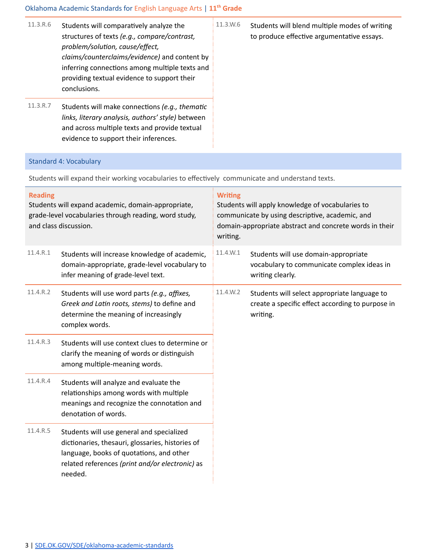### Oklahoma Academic Standards for English Language Arts | **11 th Grade**

 $11.3.R.6$  Students will comparatively analyze the structures of texts *(e.g., compare/contrast,*  $problem/solution, cause/effect,$ *claims/counterclaims/evidence)* and content by inferring connections among multiple texts and providing textual evidence to support their conclusions. 11.3.W.6 Students will blend multiple modes of writing to produce effective argumentative essays. 11.3.R.7 Students will make connections (e.g., thematic *links, literary analysis, authors' style)* between and across multiple texts and provide textual evidence to support their inferences.

#### Standard 4: Vocabulary

Students will expand their working vocabularies to effectively communicate and understand texts.

| <b>Reading</b><br>Students will expand academic, domain-appropriate,<br>grade-level vocabularies through reading, word study,<br>and class discussion. |                                                                                                                                                                                                         | <b>Writing</b><br>Students will apply knowledge of vocabularies to<br>communicate by using descriptive, academic, and<br>domain-appropriate abstract and concrete words in their<br>writing. |                                                                                                              |  |
|--------------------------------------------------------------------------------------------------------------------------------------------------------|---------------------------------------------------------------------------------------------------------------------------------------------------------------------------------------------------------|----------------------------------------------------------------------------------------------------------------------------------------------------------------------------------------------|--------------------------------------------------------------------------------------------------------------|--|
| 11.4.R.1                                                                                                                                               | Students will increase knowledge of academic,<br>domain-appropriate, grade-level vocabulary to<br>infer meaning of grade-level text.                                                                    | 11.4.W.1                                                                                                                                                                                     | Students will use domain-appropriate<br>vocabulary to communicate complex ideas in<br>writing clearly.       |  |
| 11.4.R.2                                                                                                                                               | Students will use word parts (e.g., affixes,<br>Greek and Latin roots, stems) to define and<br>determine the meaning of increasingly<br>complex words.                                                  | 11.4.W.2                                                                                                                                                                                     | Students will select appropriate language to<br>create a specific effect according to purpose in<br>writing. |  |
| 11.4.R.3                                                                                                                                               | Students will use context clues to determine or<br>clarify the meaning of words or distinguish<br>among multiple-meaning words.                                                                         |                                                                                                                                                                                              |                                                                                                              |  |
| 11.4.R.4                                                                                                                                               | Students will analyze and evaluate the<br>relationships among words with multiple<br>meanings and recognize the connotation and<br>denotation of words.                                                 |                                                                                                                                                                                              |                                                                                                              |  |
| 11.4.R.5                                                                                                                                               | Students will use general and specialized<br>dictionaries, thesauri, glossaries, histories of<br>language, books of quotations, and other<br>related references (print and/or electronic) as<br>needed. |                                                                                                                                                                                              |                                                                                                              |  |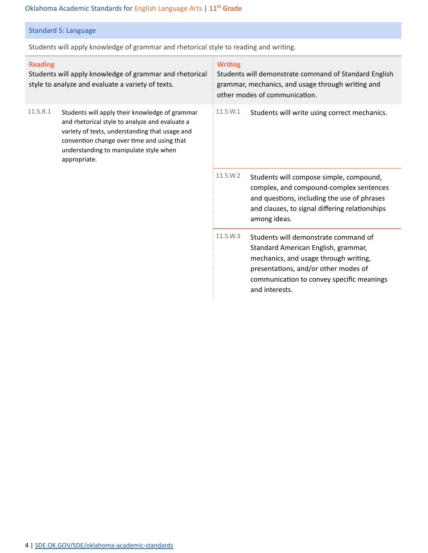### Oklahoma Academic Standards for English Language Arts | **11 th Grade**

## Standard 5: Language

Students will apply knowledge of grammar and rhetorical style to reading and writing.

| <b>Reading</b><br>Students will apply knowledge of grammar and rhetorical<br>style to analyze and evaluate a variety of texts. |                                                                                                                                                                                                                                                            | <b>Writing</b><br>Students will demonstrate command of Standard English<br>grammar, mechanics, and usage through writing and<br>other modes of communication. |                                                                                                                                                                                                                             |  |
|--------------------------------------------------------------------------------------------------------------------------------|------------------------------------------------------------------------------------------------------------------------------------------------------------------------------------------------------------------------------------------------------------|---------------------------------------------------------------------------------------------------------------------------------------------------------------|-----------------------------------------------------------------------------------------------------------------------------------------------------------------------------------------------------------------------------|--|
| 11.5.R.1                                                                                                                       | Students will apply their knowledge of grammar<br>and rhetorical style to analyze and evaluate a<br>variety of texts, understanding that usage and<br>convention change over time and using that<br>understanding to manipulate style when<br>appropriate. | 11.5.W.1                                                                                                                                                      | Students will write using correct mechanics.                                                                                                                                                                                |  |
|                                                                                                                                |                                                                                                                                                                                                                                                            | 11.5.W.2                                                                                                                                                      | Students will compose simple, compound,<br>complex, and compound-complex sentences<br>and questions, including the use of phrases<br>and clauses, to signal differing relationships<br>among ideas.                         |  |
|                                                                                                                                |                                                                                                                                                                                                                                                            | 11.5.W.3                                                                                                                                                      | Students will demonstrate command of<br>Standard American English, grammar,<br>mechanics, and usage through writing,<br>presentations, and/or other modes of<br>communication to convey specific meanings<br>and interests. |  |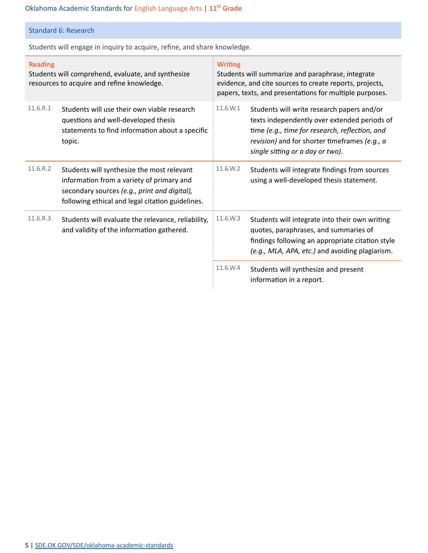## Standard 6: Research

Students will engage in inquiry to acquire, refine, and share knowledge.

| <b>Reading</b><br>Students will comprehend, evaluate, and synthesize<br>resources to acquire and refine knowledge. |                                                                                                                                                                                             | <b>Writing</b><br>Students will summarize and paraphrase, integrate<br>evidence, and cite sources to create reports, projects,<br>papers, texts, and presentations for multiple purposes. |                                                                                                                                                                                                                                   |  |
|--------------------------------------------------------------------------------------------------------------------|---------------------------------------------------------------------------------------------------------------------------------------------------------------------------------------------|-------------------------------------------------------------------------------------------------------------------------------------------------------------------------------------------|-----------------------------------------------------------------------------------------------------------------------------------------------------------------------------------------------------------------------------------|--|
| 11.6.R.1                                                                                                           | Students will use their own viable research<br>questions and well-developed thesis<br>statements to find information about a specific<br>topic.                                             | 11.6.W.1                                                                                                                                                                                  | Students will write research papers and/or<br>texts independently over extended periods of<br>time (e.g., time for research, reflection, and<br>revision) and for shorter timeframes (e.g., a<br>single sitting or a day or two). |  |
| 11.6.R.2                                                                                                           | Students will synthesize the most relevant<br>information from a variety of primary and<br>secondary sources (e.g., print and digital),<br>following ethical and legal citation guidelines. | 11.6.W.2                                                                                                                                                                                  | Students will integrate findings from sources<br>using a well-developed thesis statement.                                                                                                                                         |  |
| 11.6.R.3                                                                                                           | Students will evaluate the relevance, reliability,<br>and validity of the information gathered.                                                                                             | 11.6.W.3                                                                                                                                                                                  | Students will integrate into their own writing<br>quotes, paraphrases, and summaries of<br>findings following an appropriate citation style<br>(e.g., MLA, APA, etc.) and avoiding plagiarism.                                    |  |
|                                                                                                                    |                                                                                                                                                                                             | 11.6.W.4                                                                                                                                                                                  | Students will synthesize and present<br>information in a report.                                                                                                                                                                  |  |